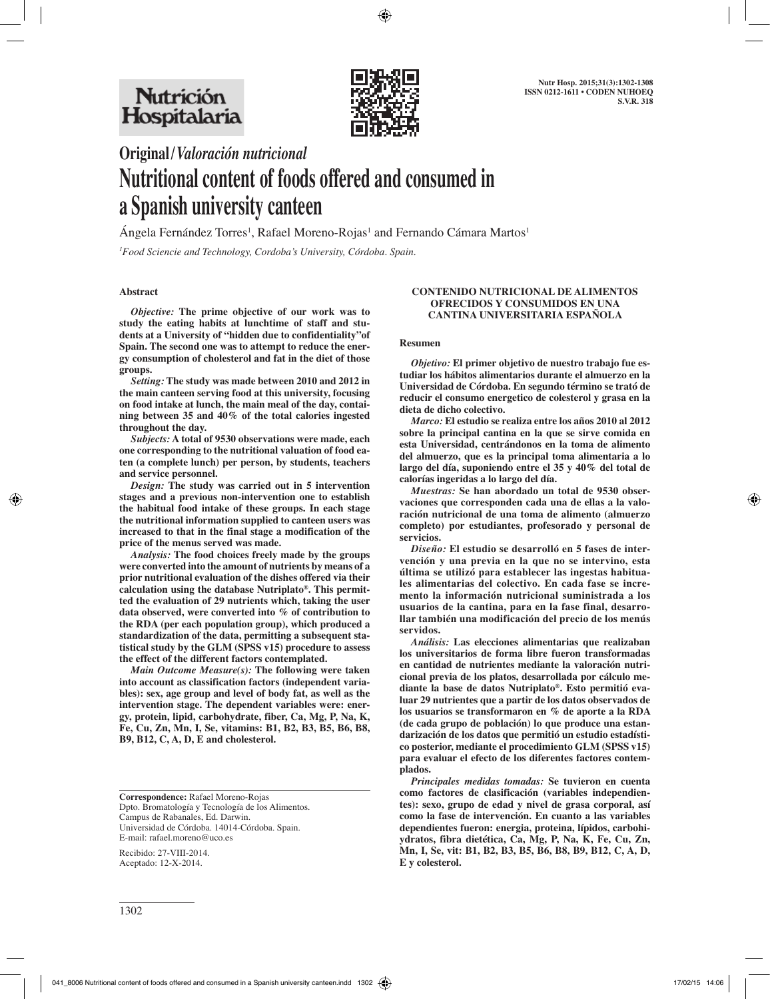

# **Original/***Valoración nutricional* **Nutritional content of foods offered and consumed in a Spanish university canteen**

Angela Fernández Torres<sup>1</sup>, Rafael Moreno-Rojas<sup>1</sup> and Fernando Cámara Martos<sup>1</sup>

*1 Food Sciencie and Technology, Cordoba's University, Córdoba. Spain.*

## **Abstract**

*Objective:* **The prime objective of our work was to study the eating habits at lunchtime of staff and students at a University of "hidden due to confidentiality"of Spain. The second one was to attempt to reduce the energy consumption of cholesterol and fat in the diet of those groups.**

*Setting:* **The study was made between 2010 and 2012 in the main canteen serving food at this university, focusing on food intake at lunch, the main meal of the day, containing between 35 and 40% of the total calories ingested throughout the day.**

*Subjects:* **A total of 9530 observations were made, each one corresponding to the nutritional valuation of food eaten (a complete lunch) per person, by students, teachers and service personnel.** 

*Design:* **The study was carried out in 5 intervention stages and a previous non-intervention one to establish the habitual food intake of these groups. In each stage the nutritional information supplied to canteen users was increased to that in the final stage a modification of the price of the menus served was made.**

*Analysis:* **The food choices freely made by the groups were converted into the amount of nutrients by means of a prior nutritional evaluation of the dishes offered via their calculation using the database Nutriplato®. This permitted the evaluation of 29 nutrients which, taking the user data observed, were converted into % of contribution to the RDA (per each population group), which produced a standardization of the data, permitting a subsequent statistical study by the GLM (SPSS v15) procedure to assess the effect of the different factors contemplated.** 

*Main Outcome Measure(s):* **The following were taken into account as classification factors (independent variables): sex, age group and level of body fat, as well as the intervention stage. The dependent variables were: energy, protein, lipid, carbohydrate, fiber, Ca, Mg, P, Na, K, Fe, Cu, Zn, Mn, I, Se, vitamins: B1, B2, B3, B5, B6, B8, B9, B12, C, A, D, E and cholesterol.**

**Correspondence:** Rafael Moreno-Rojas Dpto. Bromatología y Tecnología de los Alimentos. Campus de Rabanales, Ed. Darwin. Universidad de Córdoba. 14014-Córdoba. Spain. E-mail: rafael.moreno@uco.es

Recibido: 27-VIII-2014. Aceptado: 12-X-2014.

## 1302

#### **CONTENIDO NUTRICIONAL DE ALIMENTOS OFRECIDOS Y CONSUMIDOS EN UNA CANTINA UNIVERSITARIA ESPAÑOLA**

#### **Resumen**

*Objetivo:* **El primer objetivo de nuestro trabajo fue estudiar los hábitos alimentarios durante el almuerzo en la Universidad de Córdoba. En segundo término se trató de reducir el consumo energetico de colesterol y grasa en la dieta de dicho colectivo.**

*Marco:* **El estudio se realiza entre los años 2010 al 2012 sobre la principal cantina en la que se sirve comida en esta Universidad, centrándonos en la toma de alimento del almuerzo, que es la principal toma alimentaria a lo largo del día, suponiendo entre el 35 y 40% del total de calorías ingeridas a lo largo del día.**

*Muestras:* **Se han abordado un total de 9530 observaciones que corresponden cada una de ellas a la valoración nutricional de una toma de alimento (almuerzo completo) por estudiantes, profesorado y personal de servicios.** 

*Diseño:* **El estudio se desarrolló en 5 fases de intervención y una previa en la que no se intervino, esta última se utilizó para establecer las ingestas habituales alimentarias del colectivo. En cada fase se incremento la información nutricional suministrada a los usuarios de la cantina, para en la fase final, desarrollar también una modificación del precio de los menús servidos.**

*Análisis:* **Las elecciones alimentarias que realizaban los universitarios de forma libre fueron transformadas en cantidad de nutrientes mediante la valoración nutricional previa de los platos, desarrollada por cálculo mediante la base de datos Nutriplato®. Esto permitió evaluar 29 nutrientes que a partir de los datos observados de los usuarios se transformaron en % de aporte a la RDA (de cada grupo de población) lo que produce una estandarización de los datos que permitió un estudio estadístico posterior, mediante el procedimiento GLM (SPSS v15) para evaluar el efecto de los diferentes factores contemplados.** 

*Principales medidas tomadas:* **Se tuvieron en cuenta como factores de clasificación (variables independientes): sexo, grupo de edad y nivel de grasa corporal, así como la fase de intervención. En cuanto a las variables dependientes fueron: energia, proteina, lípidos, carbohiydratos, fibra dietética, Ca, Mg, P, Na, K, Fe, Cu, Zn, Mn, I, Se, vit: B1, B2, B3, B5, B6, B8, B9, B12, C, A, D, E y colesterol.**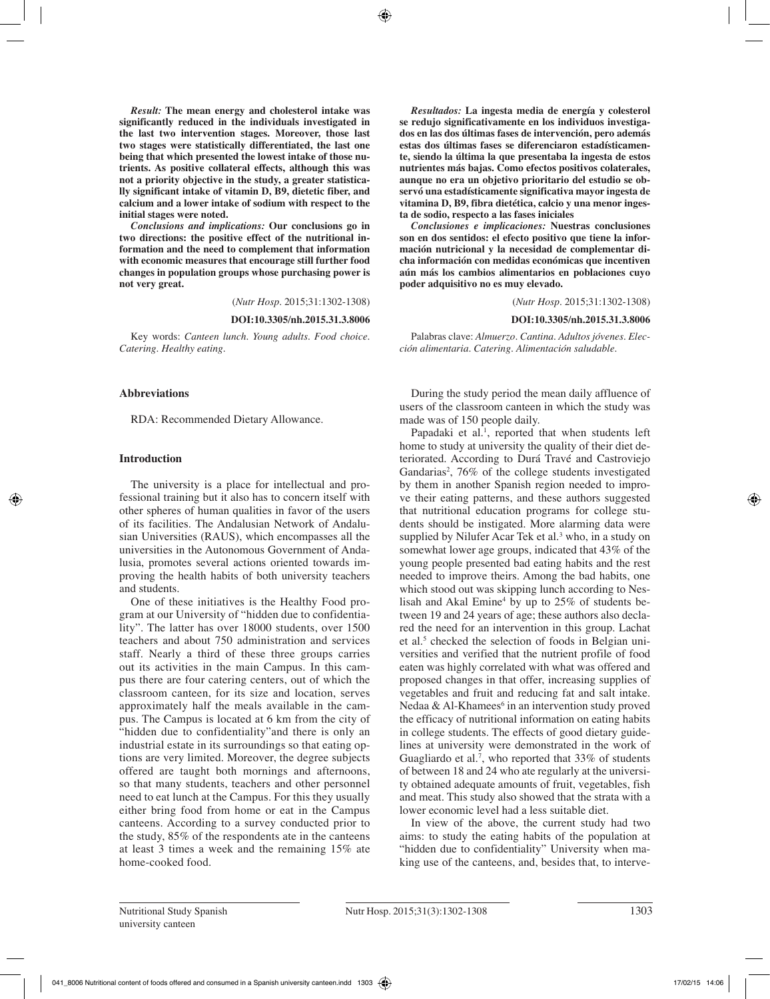*Result:* **The mean energy and cholesterol intake was significantly reduced in the individuals investigated in the last two intervention stages. Moreover, those last two stages were statistically differentiated, the last one being that which presented the lowest intake of those nutrients. As positive collateral effects, although this was not a priority objective in the study, a greater statistically significant intake of vitamin D, B9, dietetic fiber, and calcium and a lower intake of sodium with respect to the initial stages were noted.**

*Conclusions and implications:* **Our conclusions go in two directions: the positive effect of the nutritional information and the need to complement that information with economic measures that encourage still further food changes in population groups whose purchasing power is not very great.**

(*Nutr Hosp.* 2015;31:1302-1308)

#### **DOI:10.3305/nh.2015.31.3.8006**

Key words: *Canteen lunch. Young adults. Food choice. Catering. Healthy eating.*

#### **Abbreviations**

RDA: Recommended Dietary Allowance.

## **Introduction**

The university is a place for intellectual and professional training but it also has to concern itself with other spheres of human qualities in favor of the users of its facilities. The Andalusian Network of Andalusian Universities (RAUS), which encompasses all the universities in the Autonomous Government of Andalusia, promotes several actions oriented towards improving the health habits of both university teachers and students.

One of these initiatives is the Healthy Food program at our University of "hidden due to confidentiality". The latter has over 18000 students, over 1500 teachers and about 750 administration and services staff. Nearly a third of these three groups carries out its activities in the main Campus. In this campus there are four catering centers, out of which the classroom canteen, for its size and location, serves approximately half the meals available in the campus. The Campus is located at 6 km from the city of "hidden due to confidentiality"and there is only an industrial estate in its surroundings so that eating options are very limited. Moreover, the degree subjects offered are taught both mornings and afternoons, so that many students, teachers and other personnel need to eat lunch at the Campus. For this they usually either bring food from home or eat in the Campus canteens. According to a survey conducted prior to the study, 85% of the respondents ate in the canteens at least 3 times a week and the remaining 15% ate home-cooked food.

*Resultados:* **La ingesta media de energía y colesterol se redujo significativamente en los individuos investigados en las dos últimas fases de intervención, pero además estas dos últimas fases se diferenciaron estadísticamente, siendo la última la que presentaba la ingesta de estos nutrientes más bajas. Como efectos positivos colaterales, aunque no era un objetivo prioritario del estudio se observó una estadísticamente significativa mayor ingesta de vitamina D, B9, fibra dietética, calcio y una menor ingesta de sodio, respecto a las fases iniciales**

*Conclusiones e implicaciones:* **Nuestras conclusiones son en dos sentidos: el efecto positivo que tiene la información nutricional y la necesidad de complementar dicha información con medidas económicas que incentiven aún más los cambios alimentarios en poblaciones cuyo poder adquisitivo no es muy elevado.**

(*Nutr Hosp.* 2015;31:1302-1308)

#### **DOI:10.3305/nh.2015.31.3.8006**

Palabras clave: *Almuerzo. Cantina. Adultos jóvenes. Elección alimentaria. Catering. Alimentación saludable.*

During the study period the mean daily affluence of users of the classroom canteen in which the study was made was of 150 people daily.

Papadaki et al.<sup>1</sup>, reported that when students left home to study at university the quality of their diet deteriorated. According to Durá Travé and Castroviejo Gandarias<sup>2</sup>,  $76\%$  of the college students investigated by them in another Spanish region needed to improve their eating patterns, and these authors suggested that nutritional education programs for college students should be instigated. More alarming data were supplied by Nilufer Acar Tek et al.<sup>3</sup> who, in a study on somewhat lower age groups, indicated that 43% of the young people presented bad eating habits and the rest needed to improve theirs. Among the bad habits, one which stood out was skipping lunch according to Neslisah and Akal  $Emine<sup>4</sup>$  by up to 25% of students between 19 and 24 years of age; these authors also declared the need for an intervention in this group. Lachat et al.<sup>5</sup> checked the selection of foods in Belgian universities and verified that the nutrient profile of food eaten was highly correlated with what was offered and proposed changes in that offer, increasing supplies of vegetables and fruit and reducing fat and salt intake. Nedaa & Al-Khamees<sup>6</sup> in an intervention study proved the efficacy of nutritional information on eating habits in college students. The effects of good dietary guidelines at university were demonstrated in the work of Guagliardo et al.<sup>7</sup>, who reported that 33% of students of between 18 and 24 who ate regularly at the university obtained adequate amounts of fruit, vegetables, fish and meat. This study also showed that the strata with a lower economic level had a less suitable diet.

In view of the above, the current study had two aims: to study the eating habits of the population at "hidden due to confidentiality" University when making use of the canteens, and, besides that, to interve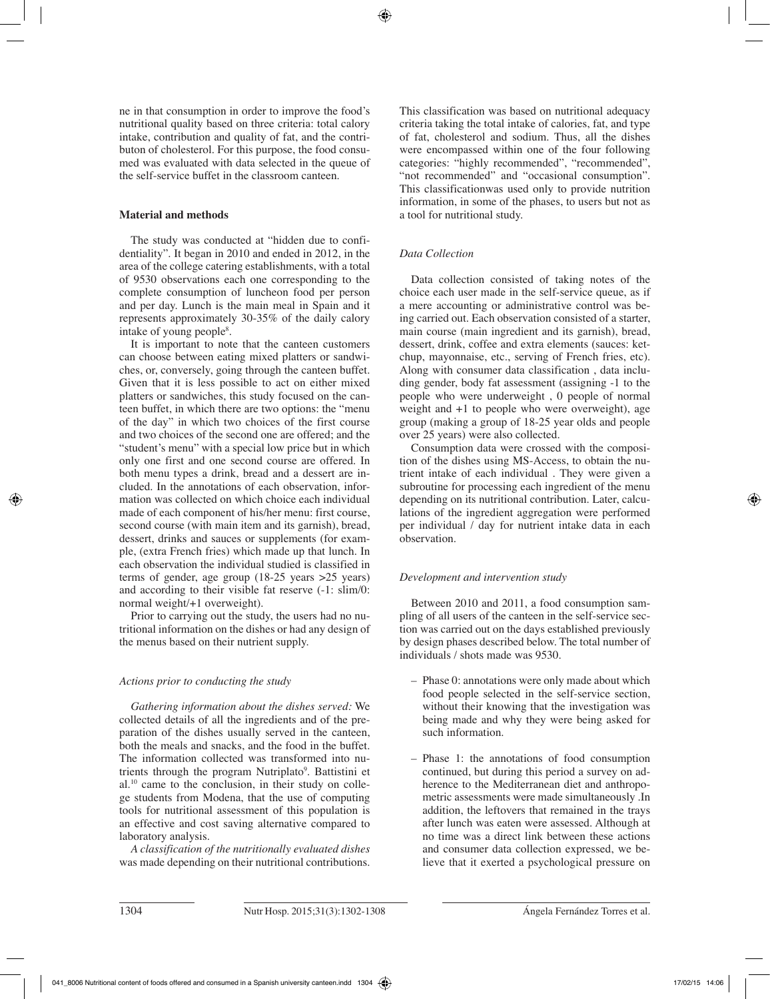ne in that consumption in order to improve the food's nutritional quality based on three criteria: total calory intake, contribution and quality of fat, and the contributon of cholesterol. For this purpose, the food consumed was evaluated with data selected in the queue of the self-service buffet in the classroom canteen.

## **Material and methods**

The study was conducted at "hidden due to confidentiality". It began in 2010 and ended in 2012, in the area of the college catering establishments, with a total of 9530 observations each one corresponding to the complete consumption of luncheon food per person and per day. Lunch is the main meal in Spain and it represents approximately 30-35% of the daily calory intake of young people<sup>8</sup>.

It is important to note that the canteen customers can choose between eating mixed platters or sandwiches, or, conversely, going through the canteen buffet. Given that it is less possible to act on either mixed platters or sandwiches, this study focused on the canteen buffet, in which there are two options: the "menu of the day" in which two choices of the first course and two choices of the second one are offered; and the "student's menu" with a special low price but in which only one first and one second course are offered. In both menu types a drink, bread and a dessert are included. In the annotations of each observation, information was collected on which choice each individual made of each component of his/her menu: first course, second course (with main item and its garnish), bread, dessert, drinks and sauces or supplements (for example, (extra French fries) which made up that lunch. In each observation the individual studied is classified in terms of gender, age group (18-25 years >25 years) and according to their visible fat reserve (-1: slim/0: normal weight/+1 overweight).

Prior to carrying out the study, the users had no nutritional information on the dishes or had any design of the menus based on their nutrient supply.

# *Actions prior to conducting the study*

*Gathering information about the dishes served:* We collected details of all the ingredients and of the preparation of the dishes usually served in the canteen, both the meals and snacks, and the food in the buffet. The information collected was transformed into nutrients through the program Nutriplato<sup>9</sup>. Battistini et al.10 came to the conclusion, in their study on college students from Modena, that the use of computing tools for nutritional assessment of this population is an effective and cost saving alternative compared to laboratory analysis.

*A classification of the nutritionally evaluated dishes*  was made depending on their nutritional contributions.

This classification was based on nutritional adequacy criteria taking the total intake of calories, fat, and type of fat, cholesterol and sodium. Thus, all the dishes were encompassed within one of the four following categories: "highly recommended", "recommended", "not recommended" and "occasional consumption". This classificationwas used only to provide nutrition information, in some of the phases, to users but not as a tool for nutritional study.

# *Data Collection*

Data collection consisted of taking notes of the choice each user made in the self-service queue, as if a mere accounting or administrative control was being carried out. Each observation consisted of a starter, main course (main ingredient and its garnish), bread, dessert, drink, coffee and extra elements (sauces: ketchup, mayonnaise, etc., serving of French fries, etc). Along with consumer data classification , data including gender, body fat assessment (assigning -1 to the people who were underweight , 0 people of normal weight and +1 to people who were overweight), age group (making a group of 18-25 year olds and people over 25 years) were also collected.

Consumption data were crossed with the composition of the dishes using MS-Access, to obtain the nutrient intake of each individual . They were given a subroutine for processing each ingredient of the menu depending on its nutritional contribution. Later, calculations of the ingredient aggregation were performed per individual / day for nutrient intake data in each observation.

# *Development and intervention study*

Between 2010 and 2011, a food consumption sampling of all users of the canteen in the self-service section was carried out on the days established previously by design phases described below. The total number of individuals / shots made was 9530.

- Phase 0: annotations were only made about which food people selected in the self-service section, without their knowing that the investigation was being made and why they were being asked for such information.
- Phase 1: the annotations of food consumption continued, but during this period a survey on adherence to the Mediterranean diet and anthropometric assessments were made simultaneously .In addition, the leftovers that remained in the trays after lunch was eaten were assessed. Although at no time was a direct link between these actions and consumer data collection expressed, we believe that it exerted a psychological pressure on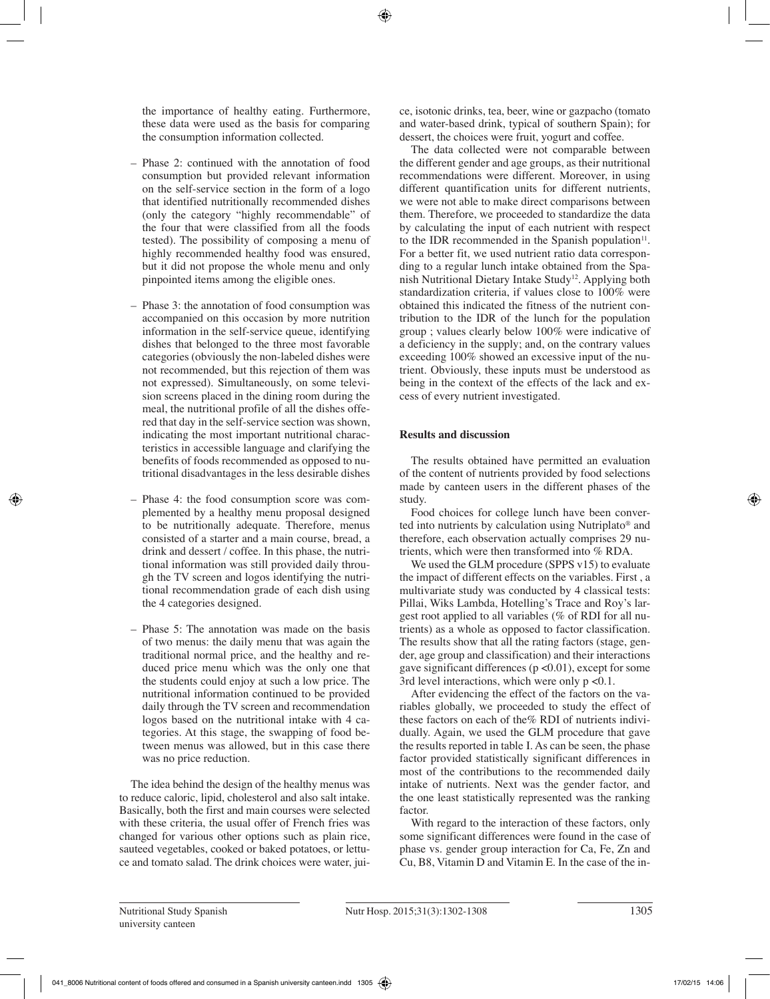the importance of healthy eating. Furthermore, these data were used as the basis for comparing the consumption information collected.

- Phase 2: continued with the annotation of food consumption but provided relevant information on the self-service section in the form of a logo that identified nutritionally recommended dishes (only the category "highly recommendable" of the four that were classified from all the foods tested). The possibility of composing a menu of highly recommended healthy food was ensured, but it did not propose the whole menu and only pinpointed items among the eligible ones.
- Phase 3: the annotation of food consumption was accompanied on this occasion by more nutrition information in the self-service queue, identifying dishes that belonged to the three most favorable categories (obviously the non-labeled dishes were not recommended, but this rejection of them was not expressed). Simultaneously, on some television screens placed in the dining room during the meal, the nutritional profile of all the dishes offered that day in the self-service section was shown, indicating the most important nutritional characteristics in accessible language and clarifying the benefits of foods recommended as opposed to nutritional disadvantages in the less desirable dishes
- Phase 4: the food consumption score was complemented by a healthy menu proposal designed to be nutritionally adequate. Therefore, menus consisted of a starter and a main course, bread, a drink and dessert / coffee. In this phase, the nutritional information was still provided daily through the TV screen and logos identifying the nutritional recommendation grade of each dish using the 4 categories designed.
- Phase 5: The annotation was made on the basis of two menus: the daily menu that was again the traditional normal price, and the healthy and reduced price menu which was the only one that the students could enjoy at such a low price. The nutritional information continued to be provided daily through the TV screen and recommendation logos based on the nutritional intake with 4 categories. At this stage, the swapping of food between menus was allowed, but in this case there was no price reduction.

The idea behind the design of the healthy menus was to reduce caloric, lipid, cholesterol and also salt intake. Basically, both the first and main courses were selected with these criteria, the usual offer of French fries was changed for various other options such as plain rice, sauteed vegetables, cooked or baked potatoes, or lettuce and tomato salad. The drink choices were water, juice, isotonic drinks, tea, beer, wine or gazpacho (tomato and water-based drink, typical of southern Spain); for dessert, the choices were fruit, yogurt and coffee.

The data collected were not comparable between the different gender and age groups, as their nutritional recommendations were different. Moreover, in using different quantification units for different nutrients, we were not able to make direct comparisons between them. Therefore, we proceeded to standardize the data by calculating the input of each nutrient with respect to the IDR recommended in the Spanish population $11$ . For a better fit, we used nutrient ratio data corresponding to a regular lunch intake obtained from the Spanish Nutritional Dietary Intake Study<sup>12</sup>. Applying both standardization criteria, if values close to 100% were obtained this indicated the fitness of the nutrient contribution to the IDR of the lunch for the population group ; values clearly below 100% were indicative of a deficiency in the supply; and, on the contrary values exceeding 100% showed an excessive input of the nutrient. Obviously, these inputs must be understood as being in the context of the effects of the lack and excess of every nutrient investigated.

## **Results and discussion**

The results obtained have permitted an evaluation of the content of nutrients provided by food selections made by canteen users in the different phases of the study.

Food choices for college lunch have been converted into nutrients by calculation using Nutriplato® and therefore, each observation actually comprises 29 nutrients, which were then transformed into % RDA.

We used the GLM procedure (SPPS v15) to evaluate the impact of different effects on the variables. First , a multivariate study was conducted by 4 classical tests: Pillai, Wiks Lambda, Hotelling's Trace and Roy's largest root applied to all variables (% of RDI for all nutrients) as a whole as opposed to factor classification. The results show that all the rating factors (stage, gender, age group and classification) and their interactions gave significant differences ( $p \le 0.01$ ), except for some 3rd level interactions, which were only  $p \le 0.1$ .

After evidencing the effect of the factors on the variables globally, we proceeded to study the effect of these factors on each of the% RDI of nutrients individually. Again, we used the GLM procedure that gave the results reported in table I. As can be seen, the phase factor provided statistically significant differences in most of the contributions to the recommended daily intake of nutrients. Next was the gender factor, and the one least statistically represented was the ranking factor.

With regard to the interaction of these factors, only some significant differences were found in the case of phase vs. gender group interaction for Ca, Fe, Zn and Cu, B8, Vitamin D and Vitamin E. In the case of the in-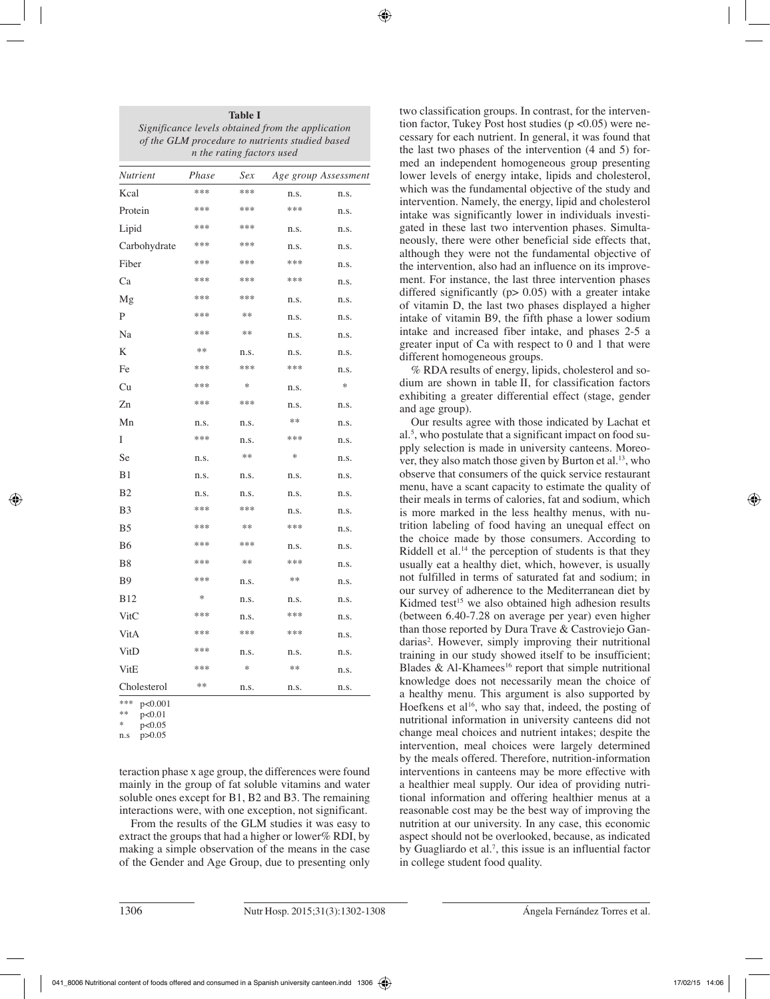| Significance levels obtained from the application<br>of the GLM procedure to nutrients studied based<br>n the rating factors used |       |      |      |                      |  |  |  |  |  |
|-----------------------------------------------------------------------------------------------------------------------------------|-------|------|------|----------------------|--|--|--|--|--|
| Nutrient                                                                                                                          | Phase | Sex  |      | Age group Assessment |  |  |  |  |  |
| Kcal                                                                                                                              | ***   | ***  | n.s. | n.s.                 |  |  |  |  |  |
| Protein                                                                                                                           | ***   | ***  | ***  | n.s.                 |  |  |  |  |  |
| Lipid                                                                                                                             | ***   | ***  | n.s. | n.s.                 |  |  |  |  |  |
| Carbohydrate                                                                                                                      | ***   | ***  | n.s. | n.s.                 |  |  |  |  |  |
| Fiber                                                                                                                             | ***   | ***  | ***  | n.s.                 |  |  |  |  |  |
| Ca                                                                                                                                | ***   | ***  | ***  | n.s.                 |  |  |  |  |  |
| Mg                                                                                                                                | ***   | ***  | n.s. | n.s.                 |  |  |  |  |  |
| P                                                                                                                                 | ***   | **   | n.s. | n.s.                 |  |  |  |  |  |
| Na                                                                                                                                | ***   | **   | n.s. | n.s.                 |  |  |  |  |  |
| K                                                                                                                                 | $**$  | n.s. | n.s. | n.s.                 |  |  |  |  |  |
| Fe                                                                                                                                | ***   | ***  | ***  | n.s.                 |  |  |  |  |  |
| Cu                                                                                                                                | ***   | *    | n.s. | $\ast$               |  |  |  |  |  |
| Zn                                                                                                                                | ***   | ***  | n.s. | n.s.                 |  |  |  |  |  |
| Mn                                                                                                                                | n.s.  | n.s. | $**$ | n.s.                 |  |  |  |  |  |
| I                                                                                                                                 | ***   | n.s. | ***  | n.s.                 |  |  |  |  |  |
| <b>Se</b>                                                                                                                         | n.s.  | **   | *    | n.s.                 |  |  |  |  |  |
| B <sub>1</sub>                                                                                                                    | n.s.  | n.s. | n.s. | n.s.                 |  |  |  |  |  |
| B <sub>2</sub>                                                                                                                    | n.s.  | n.s. | n.s. | n.s.                 |  |  |  |  |  |
| B3                                                                                                                                | ***   | ***  | n.s. | n.s.                 |  |  |  |  |  |
| B5                                                                                                                                | ***   | **   | ***  | n.s.                 |  |  |  |  |  |
| B6                                                                                                                                | ***   | ***  | n.s. | n.s.                 |  |  |  |  |  |
| B8                                                                                                                                | ***   | **   | ***  | n.s.                 |  |  |  |  |  |
| B9                                                                                                                                | ***   | n.s. | $**$ | n.s.                 |  |  |  |  |  |
| <b>B12</b>                                                                                                                        | *     | n.s. | n.s. | n.s.                 |  |  |  |  |  |
| VitC                                                                                                                              | ***   | n.s. | ***  | n.s.                 |  |  |  |  |  |
| VitA                                                                                                                              | ***   | ***  | ***  | n.s.                 |  |  |  |  |  |
| VitD                                                                                                                              | ***   | n.s. | n.s. | n.s.                 |  |  |  |  |  |
| VitE                                                                                                                              | ***   | *    | **   | n.s.                 |  |  |  |  |  |
| Cholesterol                                                                                                                       | **    | n.s. | n.s. | n.s.                 |  |  |  |  |  |

**Table I**

 $p<0.001$ 

 $p < 0.01$ 

\*  $p<0.05$ <br>n.s  $p>0.05$  $p > 0.05$ 

teraction phase x age group, the differences were found mainly in the group of fat soluble vitamins and water soluble ones except for B1, B2 and B3. The remaining interactions were, with one exception, not significant.

From the results of the GLM studies it was easy to extract the groups that had a higher or lower% RDI, by making a simple observation of the means in the case of the Gender and Age Group, due to presenting only two classification groups. In contrast, for the intervention factor, Tukey Post host studies ( $p \le 0.05$ ) were necessary for each nutrient. In general, it was found that the last two phases of the intervention (4 and 5) formed an independent homogeneous group presenting lower levels of energy intake, lipids and cholesterol, which was the fundamental objective of the study and intervention. Namely, the energy, lipid and cholesterol intake was significantly lower in individuals investigated in these last two intervention phases. Simultaneously, there were other beneficial side effects that, although they were not the fundamental objective of the intervention, also had an influence on its improvement. For instance, the last three intervention phases differed significantly ( $p$  > 0.05) with a greater intake of vitamin D, the last two phases displayed a higher intake of vitamin B9, the fifth phase a lower sodium intake and increased fiber intake, and phases 2-5 a greater input of Ca with respect to 0 and 1 that were different homogeneous groups.

% RDA results of energy, lipids, cholesterol and sodium are shown in table II, for classification factors exhibiting a greater differential effect (stage, gender and age group).

Our results agree with those indicated by Lachat et al.5 , who postulate that a significant impact on food supply selection is made in university canteens. Moreover, they also match those given by Burton et al.<sup>13</sup>, who observe that consumers of the quick service restaurant menu, have a scant capacity to estimate the quality of their meals in terms of calories, fat and sodium, which is more marked in the less healthy menus, with nutrition labeling of food having an unequal effect on the choice made by those consumers. According to Riddell et al.<sup>14</sup> the perception of students is that they usually eat a healthy diet, which, however, is usually not fulfilled in terms of saturated fat and sodium; in our survey of adherence to the Mediterranean diet by Kidmed test<sup>15</sup> we also obtained high adhesion results (between 6.40-7.28 on average per year) even higher than those reported by Dura Trave & Castroviejo Gandarias<sup>2</sup>. However, simply improving their nutritional training in our study showed itself to be insufficient; Blades  $\&$  Al-Khamees<sup>16</sup> report that simple nutritional knowledge does not necessarily mean the choice of a healthy menu. This argument is also supported by Hoefkens et al<sup>16</sup>, who say that, indeed, the posting of nutritional information in university canteens did not change meal choices and nutrient intakes; despite the intervention, meal choices were largely determined by the meals offered. Therefore, nutrition-information interventions in canteens may be more effective with a healthier meal supply. Our idea of providing nutritional information and offering healthier menus at a reasonable cost may be the best way of improving the nutrition at our university. In any case, this economic aspect should not be overlooked, because, as indicated by Guagliardo et al.<sup>7</sup>, this issue is an influential factor in college student food quality.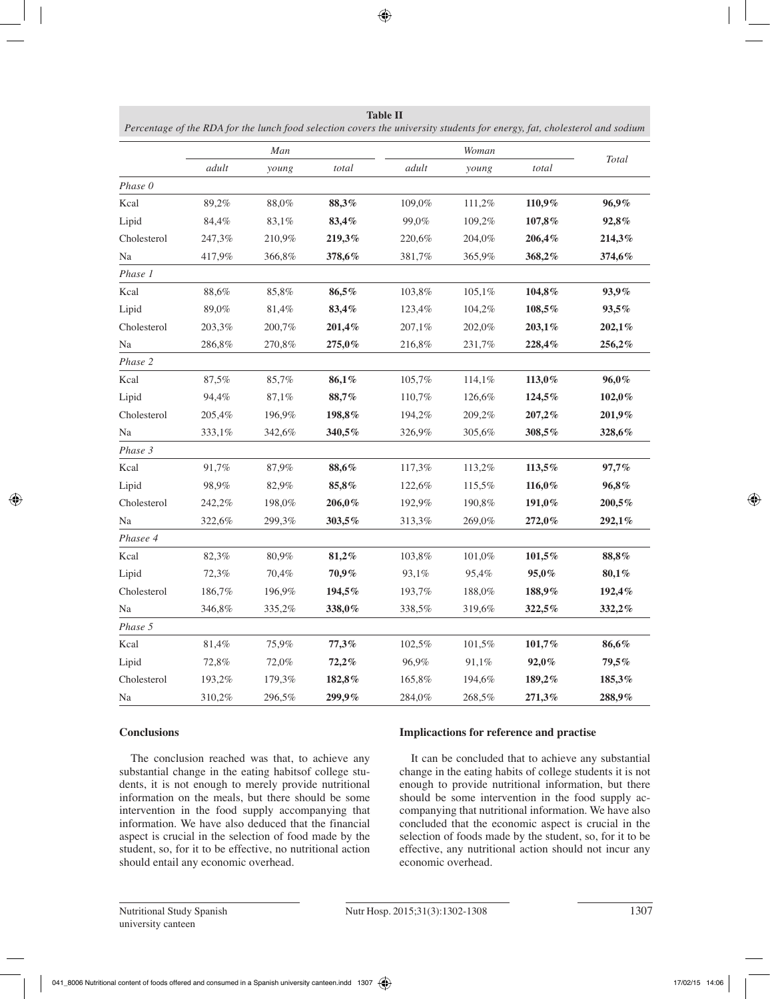|             |        | Man    |        |        | Woman  | Total  |        |  |
|-------------|--------|--------|--------|--------|--------|--------|--------|--|
|             | adult  | young  | total  | adult  | young  | total  |        |  |
| Phase 0     |        |        |        |        |        |        |        |  |
| Kcal        | 89,2%  | 88,0%  | 88,3%  | 109,0% | 111,2% | 110,9% | 96,9%  |  |
| Lipid       | 84,4%  | 83,1%  | 83,4%  | 99,0%  | 109,2% | 107,8% | 92,8%  |  |
| Cholesterol | 247,3% | 210,9% | 219,3% | 220,6% | 204,0% | 206,4% | 214,3% |  |
| Na          | 417,9% | 366,8% | 378,6% | 381,7% | 365,9% | 368,2% | 374,6% |  |
| Phase 1     |        |        |        |        |        |        |        |  |
| Kcal        | 88,6%  | 85,8%  | 86,5%  | 103,8% | 105,1% | 104,8% | 93,9%  |  |
| Lipid       | 89,0%  | 81,4%  | 83,4%  | 123,4% | 104,2% | 108,5% | 93,5%  |  |
| Cholesterol | 203,3% | 200,7% | 201,4% | 207,1% | 202,0% | 203,1% | 202,1% |  |
| Na          | 286,8% | 270,8% | 275,0% | 216,8% | 231,7% | 228,4% | 256,2% |  |
| Phase 2     |        |        |        |        |        |        |        |  |
| Kcal        | 87,5%  | 85,7%  | 86,1%  | 105,7% | 114,1% | 113,0% | 96,0%  |  |
| Lipid       | 94,4%  | 87,1%  | 88,7%  | 110,7% | 126,6% | 124,5% | 102,0% |  |
| Cholesterol | 205,4% | 196,9% | 198,8% | 194,2% | 209,2% | 207,2% | 201,9% |  |
| Na          | 333,1% | 342,6% | 340,5% | 326,9% | 305,6% | 308,5% | 328,6% |  |
| Phase 3     |        |        |        |        |        |        |        |  |
| Kcal        | 91,7%  | 87,9%  | 88,6%  | 117,3% | 113,2% | 113,5% | 97,7%  |  |
| Lipid       | 98,9%  | 82,9%  | 85,8%  | 122,6% | 115,5% | 116,0% | 96,8%  |  |
| Cholesterol | 242,2% | 198,0% | 206,0% | 192,9% | 190,8% | 191,0% | 200,5% |  |
| Na          | 322,6% | 299,3% | 303,5% | 313,3% | 269,0% | 272,0% | 292,1% |  |
| Phasee 4    |        |        |        |        |        |        |        |  |
| Kcal        | 82,3%  | 80,9%  | 81,2%  | 103,8% | 101,0% | 101,5% | 88,8%  |  |
| Lipid       | 72,3%  | 70,4%  | 70,9%  | 93,1%  | 95,4%  | 95,0%  | 80,1%  |  |
| Cholesterol | 186,7% | 196,9% | 194,5% | 193,7% | 188,0% | 188,9% | 192,4% |  |
| Na          | 346,8% | 335,2% | 338,0% | 338,5% | 319,6% | 322,5% | 332,2% |  |
| Phase 5     |        |        |        |        |        |        |        |  |
| Kcal        | 81,4%  | 75,9%  | 77,3%  | 102,5% | 101,5% | 101,7% | 86,6%  |  |
| Lipid       | 72,8%  | 72,0%  | 72,2%  | 96,9%  | 91,1%  | 92,0%  | 79,5%  |  |
| Cholesterol | 193,2% | 179,3% | 182,8% | 165,8% | 194,6% | 189,2% | 185,3% |  |
| Na          | 310,2% | 296,5% | 299,9% | 284,0% | 268,5% | 271,3% | 288,9% |  |

| <b>Table II</b>                                                                                                           |
|---------------------------------------------------------------------------------------------------------------------------|
| Percentage of the RDA for the lunch food selection covers the university students for energy, fat, cholesterol and sodium |

# **Conclusions**

The conclusion reached was that, to achieve any substantial change in the eating habitsof college students, it is not enough to merely provide nutritional information on the meals, but there should be some intervention in the food supply accompanying that information. We have also deduced that the financial aspect is crucial in the selection of food made by the student, so, for it to be effective, no nutritional action should entail any economic overhead.

# **Implicactions for reference and practise**

It can be concluded that to achieve any substantial change in the eating habits of college students it is not enough to provide nutritional information, but there should be some intervention in the food supply accompanying that nutritional information. We have also concluded that the economic aspect is crucial in the selection of foods made by the student, so, for it to be effective, any nutritional action should not incur any economic overhead.